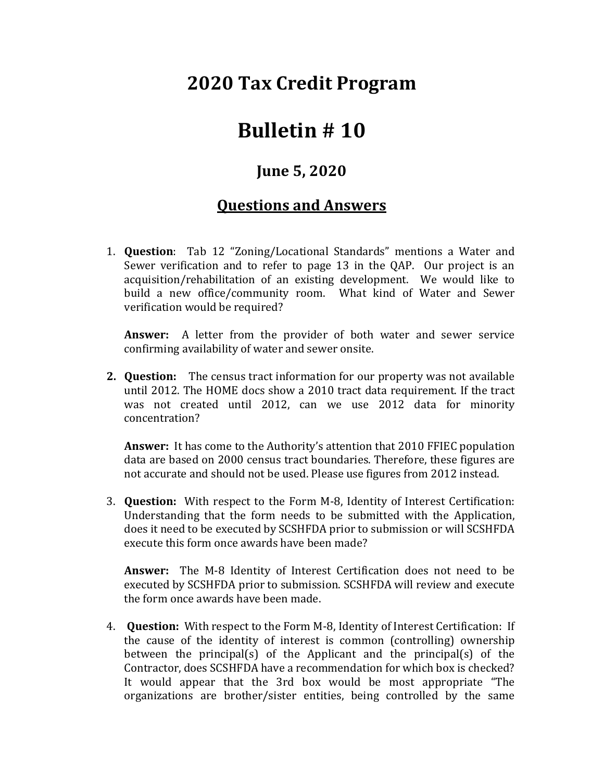## **2020 Tax Credit Program**

## **Bulletin # 10**

## **June 5, 2020**

## **Questions and Answers**

1. **Question**: Tab 12 "Zoning/Locational Standards" mentions a Water and Sewer verification and to refer to page 13 in the QAP. Our project is an acquisition/rehabilitation of an existing development. We would like to build a new office/community room. What kind of Water and Sewer verification would be required?

**Answer:** A letter from the provider of both water and sewer service confirming availability of water and sewer onsite.

**2. Question:** The census tract information for our property was not available until 2012. The HOME docs show a 2010 tract data requirement. If the tract was not created until 2012, can we use 2012 data for minority concentration?

**Answer:** It has come to the Authority's attention that 2010 FFIEC population data are based on 2000 census tract boundaries. Therefore, these figures are not accurate and should not be used. Please use figures from 2012 instead.

3. **Question:** With respect to the Form M-8, Identity of Interest Certification: Understanding that the form needs to be submitted with the Application, does it need to be executed by SCSHFDA prior to submission or will SCSHFDA execute this form once awards have been made?

**Answer:** The M-8 Identity of Interest Certification does not need to be executed by SCSHFDA prior to submission. SCSHFDA will review and execute the form once awards have been made.

4. **Question:** With respect to the Form M-8, Identity of Interest Certification: If the cause of the identity of interest is common (controlling) ownership between the principal(s) of the Applicant and the principal(s) of the Contractor, does SCSHFDA have a recommendation for which box is checked? It would appear that the 3rd box would be most appropriate "The organizations are brother/sister entities, being controlled by the same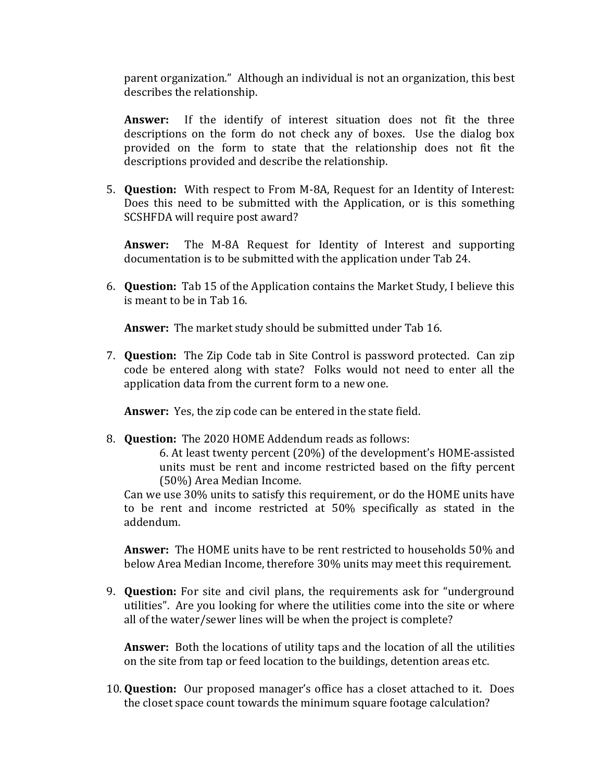parent organization." Although an individual is not an organization, this best describes the relationship.

**Answer:** If the identify of interest situation does not fit the three descriptions on the form do not check any of boxes. Use the dialog box provided on the form to state that the relationship does not fit the descriptions provided and describe the relationship.

5. **Question:** With respect to From M-8A, Request for an Identity of Interest: Does this need to be submitted with the Application, or is this something SCSHFDA will require post award?

**Answer:** The M-8A Request for Identity of Interest and supporting documentation is to be submitted with the application under Tab 24.

6. **Question:** Tab 15 of the Application contains the Market Study, I believe this is meant to be in Tab 16.

**Answer:** The market study should be submitted under Tab 16.

7. **Question:** The Zip Code tab in Site Control is password protected. Can zip code be entered along with state? Folks would not need to enter all the application data from the current form to a new one.

**Answer:** Yes, the zip code can be entered in the state field.

8. **Question:** The 2020 HOME Addendum reads as follows:

6. At least twenty percent (20%) of the development's HOME-assisted units must be rent and income restricted based on the fifty percent (50%) Area Median Income.

Can we use 30% units to satisfy this requirement, or do the HOME units have to be rent and income restricted at 50% specifically as stated in the addendum.

**Answer:** The HOME units have to be rent restricted to households 50% and below Area Median Income, therefore 30% units may meet this requirement.

9. **Question:** For site and civil plans, the requirements ask for "underground utilities". Are you looking for where the utilities come into the site or where all of the water/sewer lines will be when the project is complete?

**Answer:** Both the locations of utility taps and the location of all the utilities on the site from tap or feed location to the buildings, detention areas etc.

10. **Question:** Our proposed manager's office has a closet attached to it. Does the closet space count towards the minimum square footage calculation?